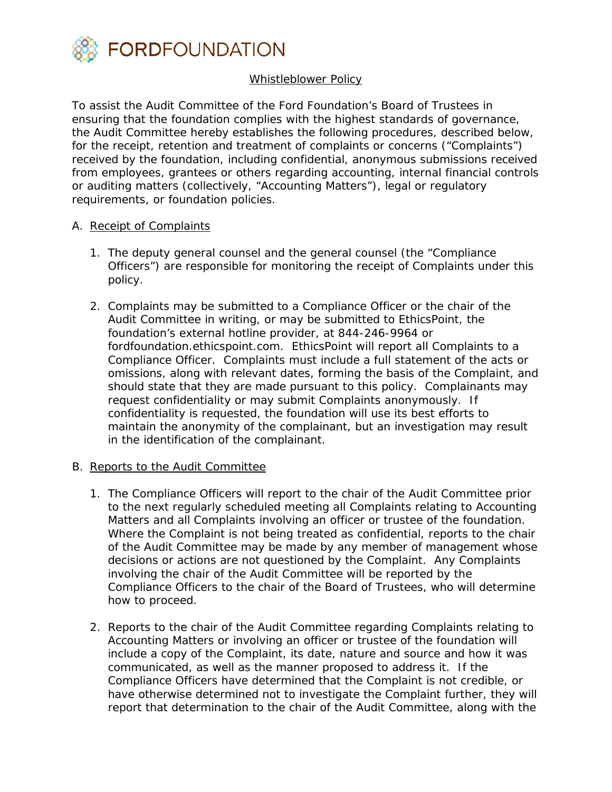

## Whistleblower Policy

To assist the Audit Committee of the Ford Foundation's Board of Trustees in ensuring that the foundation complies with the highest standards of governance, the Audit Committee hereby establishes the following procedures, described below, for the receipt, retention and treatment of complaints or concerns ("Complaints") received by the foundation, including confidential, anonymous submissions received from employees, grantees or others regarding accounting, internal financial controls or auditing matters (collectively, "Accounting Matters"), legal or regulatory requirements, or foundation policies.

## A. Receipt of Complaints

- 1. The deputy general counsel and the general counsel (the "Compliance Officers") are responsible for monitoring the receipt of Complaints under this policy.
- 2. Complaints may be submitted to a Compliance Officer or the chair of the Audit Committee in writing, or may be submitted to EthicsPoint, the foundation's external hotline provider, at 844-246-9964 or fordfoundation.ethicspoint.com. EthicsPoint will report all Complaints to a Compliance Officer. Complaints must include a full statement of the acts or omissions, along with relevant dates, forming the basis of the Complaint, and should state that they are made pursuant to this policy. Complainants may request confidentiality or may submit Complaints anonymously. If confidentiality is requested, the foundation will use its best efforts to maintain the anonymity of the complainant, but an investigation may result in the identification of the complainant.

## B. Reports to the Audit Committee

- 1. The Compliance Officers will report to the chair of the Audit Committee prior to the next regularly scheduled meeting all Complaints relating to Accounting Matters and all Complaints involving an officer or trustee of the foundation. Where the Complaint is not being treated as confidential, reports to the chair of the Audit Committee may be made by any member of management whose decisions or actions are not questioned by the Complaint. Any Complaints involving the chair of the Audit Committee will be reported by the Compliance Officers to the chair of the Board of Trustees, who will determine how to proceed.
- 2. Reports to the chair of the Audit Committee regarding Complaints relating to Accounting Matters or involving an officer or trustee of the foundation will include a copy of the Complaint, its date, nature and source and how it was communicated, as well as the manner proposed to address it. If the Compliance Officers have determined that the Complaint is not credible, or have otherwise determined not to investigate the Complaint further, they will report that determination to the chair of the Audit Committee, along with the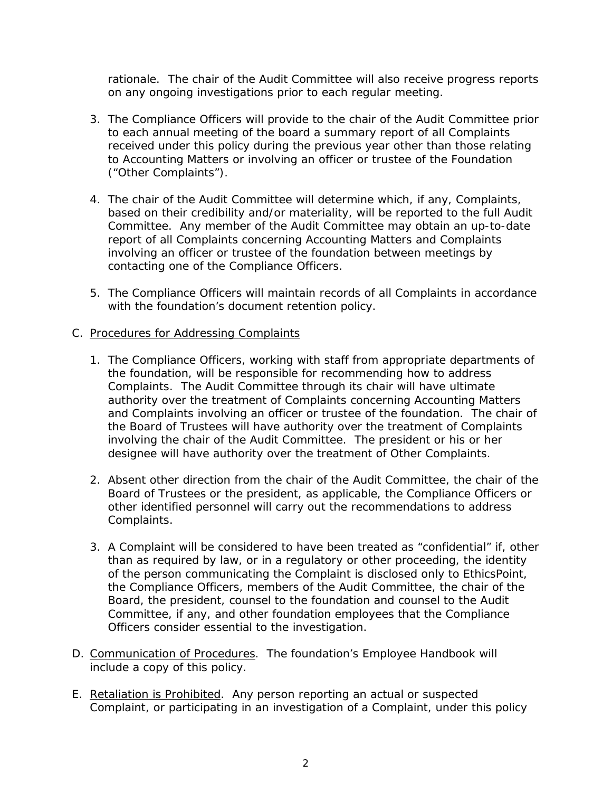rationale. The chair of the Audit Committee will also receive progress reports on any ongoing investigations prior to each regular meeting.

- 3. The Compliance Officers will provide to the chair of the Audit Committee prior to each annual meeting of the board a summary report of all Complaints received under this policy during the previous year other than those relating to Accounting Matters or involving an officer or trustee of the Foundation ("Other Complaints").
- 4. The chair of the Audit Committee will determine which, if any, Complaints, based on their credibility and/or materiality, will be reported to the full Audit Committee. Any member of the Audit Committee may obtain an up-to-date report of all Complaints concerning Accounting Matters and Complaints involving an officer or trustee of the foundation between meetings by contacting one of the Compliance Officers.
- 5. The Compliance Officers will maintain records of all Complaints in accordance with the foundation's document retention policy.

## C. Procedures for Addressing Complaints

- 1. The Compliance Officers, working with staff from appropriate departments of the foundation, will be responsible for recommending how to address Complaints. The Audit Committee through its chair will have ultimate authority over the treatment of Complaints concerning Accounting Matters and Complaints involving an officer or trustee of the foundation. The chair of the Board of Trustees will have authority over the treatment of Complaints involving the chair of the Audit Committee. The president or his or her designee will have authority over the treatment of Other Complaints.
- 2. Absent other direction from the chair of the Audit Committee, the chair of the Board of Trustees or the president, as applicable, the Compliance Officers or other identified personnel will carry out the recommendations to address Complaints.
- 3. A Complaint will be considered to have been treated as "confidential" if, other than as required by law, or in a regulatory or other proceeding, the identity of the person communicating the Complaint is disclosed only to EthicsPoint, the Compliance Officers, members of the Audit Committee, the chair of the Board, the president, counsel to the foundation and counsel to the Audit Committee, if any, and other foundation employees that the Compliance Officers consider essential to the investigation.
- D. Communication of Procedures. The foundation's Employee Handbook will include a copy of this policy.
- E. Retaliation is Prohibited. Any person reporting an actual or suspected Complaint, or participating in an investigation of a Complaint, under this policy